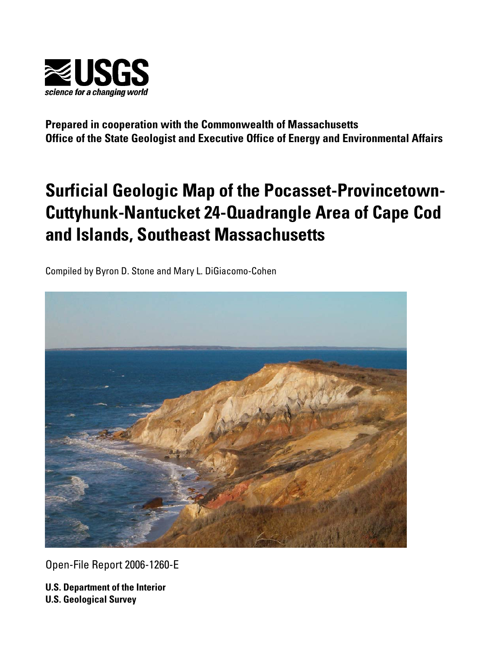

**Prepared in cooperation with the Commonwealth of Massachusetts Office of the State Geologist and Executive Office of Energy and Environmental Affairs** 

# **Surficial Geologic Map of the Pocasset-Provincetown-Cuttyhunk-Nantucket 24-Quadrangle Area of Cape Cod and Islands, Southeast Massachusetts**

Compiled by Byron D. Stone and Mary L. DiGiacomo-Cohen



Open-File Report 2006-1260-E

**U.S. Department of the Interior U.S. Geological Survey**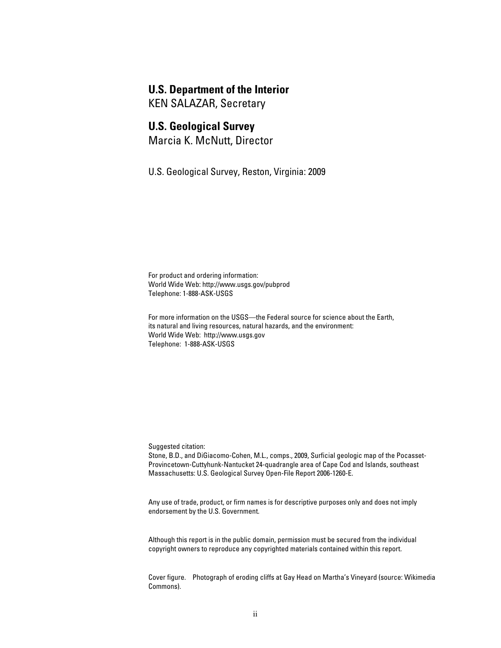#### **U.S. Department of the Interior**

KEN SALAZAR, Secretary

#### **U.S. Geological Survey**

Marcia K. McNutt, Director

U.S. Geological Survey, Reston, Virginia: 2009

For product and ordering information: World Wide Web: http://www.usgs.gov/pubprod Telephone: 1-888-ASK-USGS

For more information on the USGS—the Federal source for science about the Earth, its natural and living resources, natural hazards, and the environment: World Wide Web: http://www.usgs.gov Telephone: 1-888-ASK-USGS

Suggested citation:

Stone, B.D., and DiGiacomo-Cohen, M.L., comps., 2009, Surficial geologic map of the Pocasset-Provincetown-Cuttyhunk-Nantucket 24-quadrangle area of Cape Cod and Islands, southeast Massachusetts: U.S. Geological Survey Open-File Report 2006-1260-E.

Any use of trade, product, or firm names is for descriptive purposes only and does not imply endorsement by the U.S. Government.

Although this report is in the public domain, permission must be secured from the individual copyright owners to reproduce any copyrighted materials contained within this report.

Cover figure. Photograph of eroding cliffs at Gay Head on Martha's Vineyard (source: Wikimedia Commons).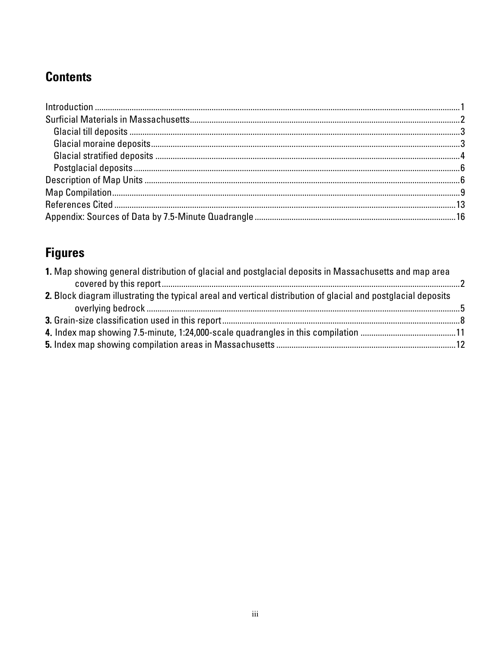## **Contents**

# **Figures**

| 1. Map showing general distribution of glacial and postglacial deposits in Massachusetts and map area         |  |
|---------------------------------------------------------------------------------------------------------------|--|
|                                                                                                               |  |
| 2. Block diagram illustrating the typical areal and vertical distribution of glacial and postglacial deposits |  |
|                                                                                                               |  |
|                                                                                                               |  |
|                                                                                                               |  |
|                                                                                                               |  |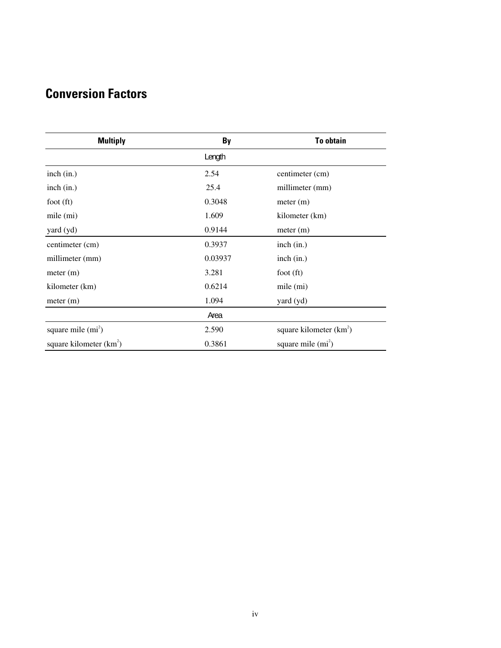## **Conversion Factors**

| <b>Multiply</b>           | By      | <b>To obtain</b>          |
|---------------------------|---------|---------------------------|
|                           | Length  |                           |
| inch (in.)                | 2.54    | centimeter (cm)           |
| inch (in.)                | 25.4    | millimeter (mm)           |
| foot $(ft)$               | 0.3048  | meter (m)                 |
| mile (mi)                 | 1.609   | kilometer (km)            |
| yard (yd)                 | 0.9144  | meter (m)                 |
| centimeter (cm)           | 0.3937  | inch (in.)                |
| millimeter (mm)           | 0.03937 | inch (in.)                |
| meter (m)                 | 3.281   | foot $(ft)$               |
| kilometer (km)            | 0.6214  | mile (mi)                 |
| meter (m)                 | 1.094   | yard (yd)                 |
|                           | Area    |                           |
| square mile $(m2)$        | 2.590   | square kilometer $(km^2)$ |
| square kilometer $(km^2)$ | 0.3861  | square mile $(m2)$        |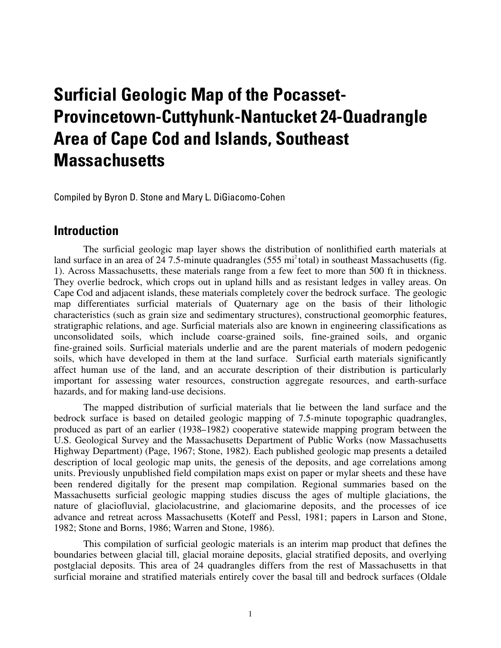# <span id="page-4-0"></span>**Surficial Geologic Map of the Pocasset-Provincetown-Cuttyhunk-Nantucket 24-Quadrangle Area of Cape Cod and Islands, Southeast Massachusetts**

Compiled by Byron D. Stone and Mary L. DiGiacomo-Cohen

#### **Introduction**

The surficial geologic map layer shows the distribution of nonlithified earth materials at land surface in an area of [24](#page-5-0) 7.5-minute quadrangles (555 mi<sup>2</sup> total) in southeast Massachusetts (fig. 1). Across Massachusetts, these materials range from a few feet to more than 500 ft in thickness. They overlie bedrock, which crops out in upland hills and as resistant ledges in valley areas. On Cape Cod and adjacent islands, these materials completely cover the bedrock surface. The geologic map differentiates surficial materials of Quaternary age on the basis of their lithologic characteristics (such as grain size and sedimentary structures), constructional geomorphic features, stratigraphic relations, and age. Surficial materials also are known in engineering classifications as unconsolidated soils, which include coarse-grained soils, fine-grained soils, and organic fine-grained soils. Surficial materials underlie and are the parent materials of modern pedogenic soils, which have developed in them at the land surface. Surficial earth materials significantly affect human use of the land, and an accurate description of their distribution is particularly important for assessing water resources, construction aggregate resources, and earth-surface hazards, and for making land-use decisions.

The mapped distribution of surficial materials that lie between the land surface and the bedrock surface is based on detailed geologic mapping of 7.5-minute topographic quadrangles, produced as part of an earlier (1938–1982) cooperative statewide mapping program between the U.S. Geological Survey and the Massachusetts Department of Public Works (now Massachusetts Highway Department) (Page, 1967; Stone, 1982). Each published geologic map presents a detailed description of local geologic map units, the genesis of the deposits, and age correlations among units. Previously unpublished field compilation maps exist on paper or mylar sheets and these have been rendered digitally for the present map compilation. Regional summaries based on the Massachusetts surficial geologic mapping studies discuss the ages of multiple glaciations, the nature of glaciofluvial, glaciolacustrine, and glaciomarine deposits, and the processes of ice advance and retreat across Massachusetts (Koteff and Pessl, 1981; papers in Larson and Stone, 1982; Stone and Borns, 1986; Warren and Stone, 1986).

This compilation of surficial geologic materials is an interim map product that defines the boundaries between glacial till, glacial moraine deposits, glacial stratified deposits, and overlying postglacial deposits. This area of 24 quadrangles differs from the rest of Massachusetts in that surficial moraine and stratified materials entirely cover the basal till and bedrock surfaces (Oldale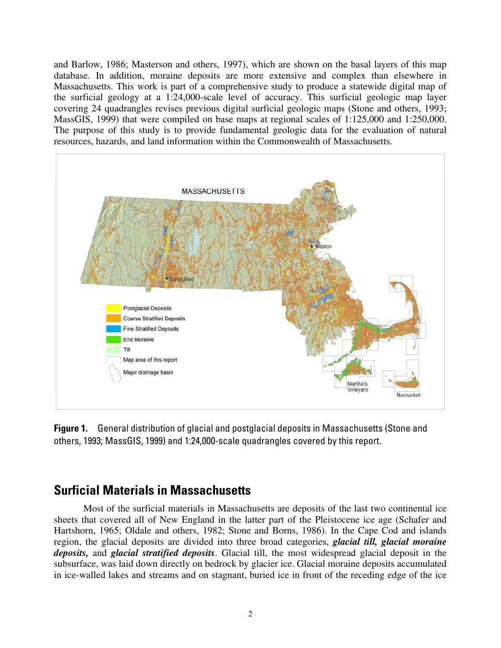<span id="page-5-0"></span>and Barlow, 1986; Masterson and others, 1997), which are shown on the basal layers of this map database. In addition, moraine deposits are more extensive and complex than elsewhere in Massachusetts. This work is part of a comprehensive study to produce a statewide digital map of the surficial geology at a 1:24,000-scale level of accuracy. This surficial geologic map layer covering 24 quadrangles revises previous digital surficial geologic maps (Stone and others, 1993; MassGIS, 1999) that were compiled on base maps at regional scales of 1:125,000 and 1:250,000. The purpose of this study is to provide fundamental geologic data for the evaluation of natural resources, hazards, and land information within the Commonwealth of Massachusetts.



**Figure 1.** General distribution of glacial and postglacial deposits in Massachusetts (Stone and others, 1993; MassGIS, 1999) and 1:24,000-scale quadrangles covered by this report.

### **Surficial Materials in Massachusetts**

Most of the surficial materials in Massachusetts are deposits of the last two continental ice sheets that covered all of New England in the latter part of the Pleistocene ice age (Schafer and Hartshorn, 1965; Oldale and others, 1982; Stone and Borns, 1986). In the Cape Cod and islands region, the glacial deposits are divided into three broad categories, *glacial till, glacial moraine deposits,* and *glacial stratified deposits*. Glacial till, the most widespread glacial deposit in the subsurface, was laid down directly on bedrock by glacier ice. Glacial moraine deposits accumulated in ice-walled lakes and streams and on stagnant, buried ice in front of the receding edge of the ice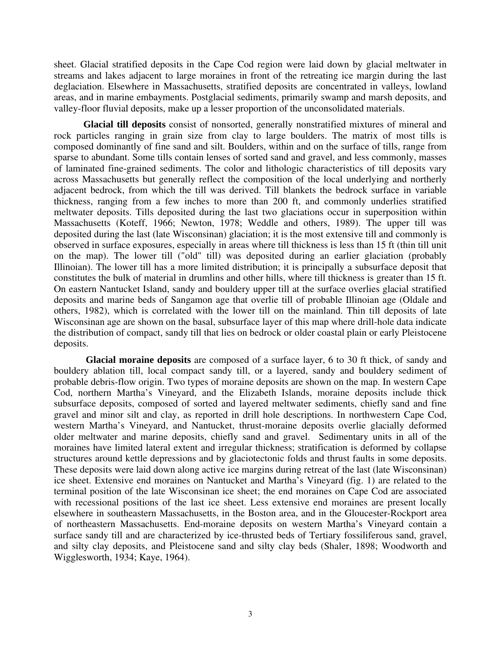<span id="page-6-0"></span>sheet. Glacial stratified deposits in the Cape Cod region were laid down by glacial meltwater in streams and lakes adjacent to large moraines in front of the retreating ice margin during the last deglaciation. Elsewhere in Massachusetts, stratified deposits are concentrated in valleys, lowland areas, and in marine embayments. Postglacial sediments, primarily swamp and marsh deposits, and valley-floor fluvial deposits, make up a lesser proportion of the unconsolidated materials.

**Glacial till deposits** consist of nonsorted, generally nonstratified mixtures of mineral and rock particles ranging in grain size from clay to large boulders. The matrix of most tills is composed dominantly of fine sand and silt. Boulders, within and on the surface of tills, range from sparse to abundant. Some tills contain lenses of sorted sand and gravel, and less commonly, masses of laminated fine-grained sediments. The color and lithologic characteristics of till deposits vary across Massachusetts but generally reflect the composition of the local underlying and northerly adjacent bedrock, from which the till was derived. Till blankets the bedrock surface in variable thickness, ranging from a few inches to more than 200 ft, and commonly underlies stratified meltwater deposits. Tills deposited during the last two glaciations occur in superposition within Massachusetts (Koteff, 1966; Newton, 1978; Weddle and others, 1989). The upper till was deposited during the last (late Wisconsinan) glaciation; it is the most extensive till and commonly is observed in surface exposures, especially in areas where till thickness is less than 15 ft (thin till unit on the map). The lower till ("old" till) was deposited during an earlier glaciation (probably Illinoian). The lower till has a more limited distribution; it is principally a subsurface deposit that constitutes the bulk of material in drumlins and other hills, where till thickness is greater than 15 ft. On eastern Nantucket Island, sandy and bouldery upper till at the surface overlies glacial stratified deposits and marine beds of Sangamon age that overlie till of probable Illinoian age (Oldale and others, 1982), which is correlated with the lower till on the mainland. Thin till deposits of late Wisconsinan age are shown on the basal, subsurface layer of this map where drill-hole data indicate the distribution of compact, sandy till that lies on bedrock or older coastal plain or early Pleistocene deposits.

**Glacial moraine deposits** are composed of a surface layer, 6 to 30 ft thick, of sandy and bouldery ablation till, local compact sandy till, or a layered, sandy and bouldery sediment of probable debris-flow origin. Two types of moraine deposits are shown on the map. In western Cape Cod, northern Martha's Vineyard, and the Elizabeth Islands, moraine deposits include thick subsurface deposits, composed of sorted and layered meltwater sediments, chiefly sand and fine gravel and minor silt and clay, as reported in drill hole descriptions. In northwestern Cape Cod, western Martha's Vineyard, and Nantucket, thrust-moraine deposits overlie glacially deformed older meltwater and marine deposits, chiefly sand and gravel. Sedimentary units in all of the moraines have limited lateral extent and irregular thickness; stratification is deformed by collapse structures around kettle depressions and by glaciotectonic folds and thrust faults in some deposits. These deposits were laid down along active ice margins during retreat of the last (late Wisconsinan) ice sheet. Extensive end moraines on Nantucket and Martha's Vineyard (fig. 1) are related to the terminal position of the late Wisconsinan ice sheet; the end moraines on Cape Cod are associated with recessional positions of the last ice sheet. Less extensive end moraines are present locally elsewhere in southeastern Massachusetts, in the Boston area, and in the Gloucester-Rockport area of northeastern Massachusetts. End-moraine deposits on western Martha's Vineyard contain a surface sandy till and are characterized by ice-thrusted beds of Tertiary fossiliferous sand, gravel, and silty clay deposits, and Pleistocene sand and silty clay beds (Shaler, 1898; Woodworth and Wigglesworth, 1934; Kaye, 1964).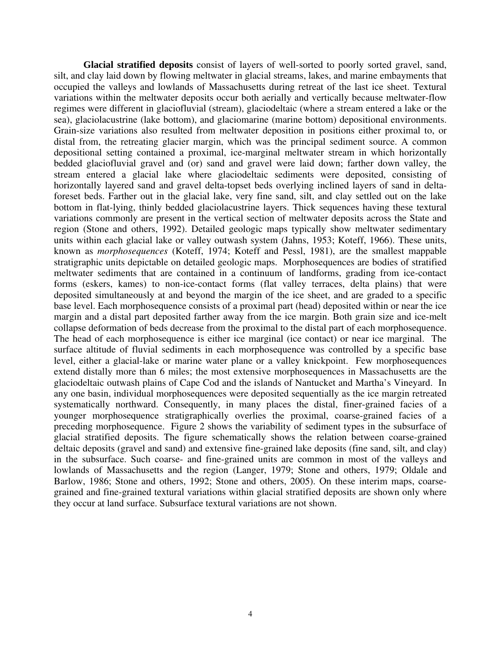<span id="page-7-0"></span>**Glacial stratified deposits** consist of layers of well-sorted to poorly sorted gravel, sand, silt, and clay laid down by flowing meltwater in glacial streams, lakes, and marine embayments that occupied the valleys and lowlands of Massachusetts during retreat of the last ice sheet. Textural variations within the meltwater deposits occur both aerially and vertically because meltwater-flow regimes were different in glaciofluvial (stream), glaciodeltaic (where a stream entered a lake or the sea), glaciolacustrine (lake bottom), and glaciomarine (marine bottom) depositional environments. Grain-size variations also resulted from meltwater deposition in positions either proximal to, or distal from, the retreating glacier margin, which was the principal sediment source. A common depositional setting contained a proximal, ice-marginal meltwater stream in which horizontally bedded glaciofluvial gravel and (or) sand and gravel were laid down; farther down valley, the stream entered a glacial lake where glaciodeltaic sediments were deposited, consisting of horizontally layered sand and gravel delta-topset beds overlying inclined layers of sand in deltaforeset beds. Farther out in the glacial lake, very fine sand, silt, and clay settled out on the lake bottom in flat-lying, thinly bedded glaciolacustrine layers. Thick sequences having these textural variations commonly are present in the vertical section of meltwater deposits across the State and region (Stone and others, 1992). Detailed geologic maps typically show meltwater sedimentary units within each glacial lake or valley outwash system (Jahns, 1953; Koteff, 1966). These units, known as *morphosequences* (Koteff, 1974; Koteff and Pessl, 1981), are the smallest mappable stratigraphic units depictable on detailed geologic maps. Morphosequences are bodies of stratified meltwater sediments that are contained in a continuum of landforms, grading from ice-contact forms (eskers, kames) to non-ice-contact forms (flat valley terraces, delta plains) that were deposited simultaneously at and beyond the margin of the ice sheet, and are graded to a specific base level. Each morphosequence consists of a proximal part (head) deposited within or near the ice margin and a distal part deposited farther away from the ice margin. Both grain size and ice-melt collapse deformation of beds decrease from the proximal to the distal part of each morphosequence. The head of each morphosequence is either ice marginal (ice contact) or near ice marginal. The surface altitude of fluvial sediments in each morphosequence was controlled by a specific base level, either a glacial-lake or marine water plane or a valley knickpoint. Few morphosequences extend distally more than 6 miles; the most extensive morphosequences in Massachusetts are the glaciodeltaic outwash plains of Cape Cod and the islands of Nantucket and Martha's Vineyard. In any one basin, individual morphosequences were deposited sequentially as the ice margin retreated systematically northward. Consequently, in many places the distal, finer-grained facies of a younger morphosequence stratigraphically overlies the proximal, coarse-grained facies of a preceding morphosequence. Figure 2 shows the variability of sediment types in the subsurface of glacial stratified deposits. The figure schematically shows the relation between coarse-grained deltaic deposits (gravel and sand) and extensive fine-grained lake deposits (fine sand, silt, and clay) in the subsurface. Such coarse- and fine-grained units are common in most of the valleys and lowlands of Massachusetts and the region (Langer, 1979; Stone and others, 1979; Oldale and Barlow, 1986; Stone and others, 1992; Stone and others, 2005). On these interim maps, coarsegrained and fine-grained textural variations within glacial stratified deposits are shown only where they occur at land surface. Subsurface textural variations are not shown.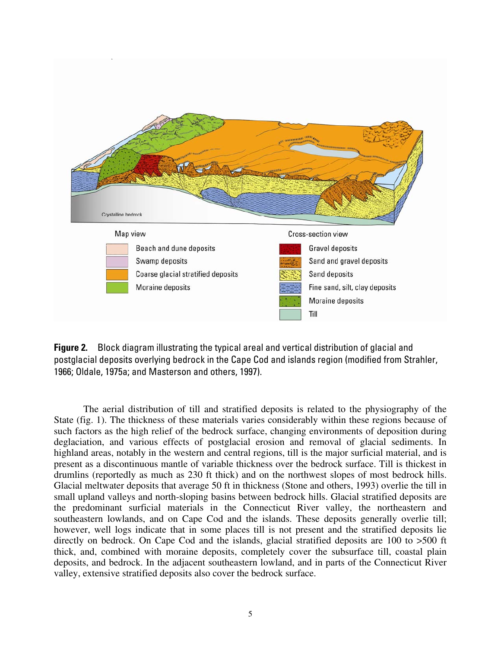<span id="page-8-0"></span>

**Figure 2.** Block diagram illustrating the typical areal and vertical distribution of glacial and postglacial deposits overlying bedrock in the Cape Cod and islands region (modified from Strahler, 1966; Oldale, 1975a; and Masterson and others, 1997).

The aerial distribution of till and stratified deposits is related to the physiography of the State (fig. 1). The thickness of these materials varies considerably within these regions because of such factors as the high relief of the bedrock surface, changing environments of deposition during deglaciation, and various effects of postglacial erosion and removal of glacial sediments. In highland areas, notably in the western and central regions, till is the major surficial material, and is present as a discontinuous mantle of variable thickness over the bedrock surface. Till is thickest in drumlins (reportedly as much as 230 ft thick) and on the northwest slopes of most bedrock hills. Glacial meltwater deposits that average 50 ft in thickness (Stone and others, 1993) overlie the till in small upland valleys and north-sloping basins between bedrock hills. Glacial stratified deposits are the predominant surficial materials in the Connecticut River valley, the northeastern and southeastern lowlands, and on Cape Cod and the islands. These deposits generally overlie till; however, well logs indicate that in some places till is not present and the stratified deposits lie directly on bedrock. On Cape Cod and the islands, glacial stratified deposits are 100 to >500 ft thick, and, combined with moraine deposits, completely cover the subsurface till, coastal plain deposits, and bedrock. In the adjacent southeastern lowland, and in parts of the Connecticut River valley, extensive stratified deposits also cover the bedrock surface.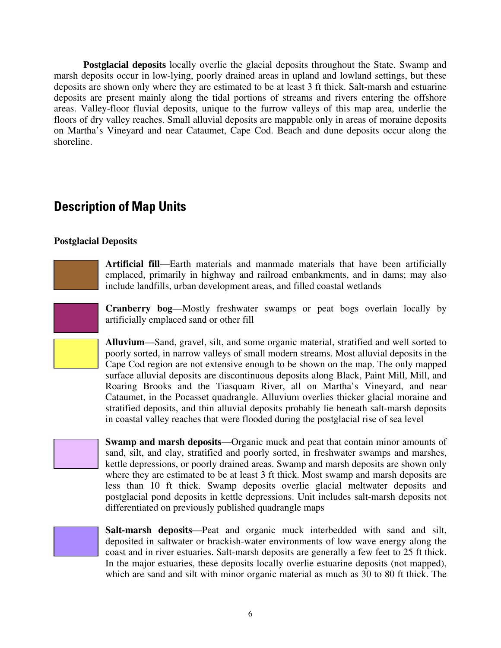<span id="page-9-0"></span>**Postglacial deposits** locally overlie the glacial deposits throughout the State. Swamp and marsh deposits occur in low-lying, poorly drained areas in upland and lowland settings, but these deposits are shown only where they are estimated to be at least 3 ft thick. Salt-marsh and estuarine deposits are present mainly along the tidal portions of streams and rivers entering the offshore areas. Valley-floor fluvial deposits, unique to the furrow valleys of this map area, underlie the floors of dry valley reaches. Small alluvial deposits are mappable only in areas of moraine deposits on Martha's Vineyard and near Cataumet, Cape Cod. Beach and dune deposits occur along the shoreline.

### **Description of Map Units**

#### **Postglacial Deposits**

**Artificial fill**—Earth materials and manmade materials that have been artificially emplaced, primarily in highway and railroad embankments, and in dams; may also include landfills, urban development areas, and filled coastal wetlands

**Cranberry bog**—Mostly freshwater swamps or peat bogs overlain locally by artificially emplaced sand or other fill

**Alluvium**—Sand, gravel, silt, and some organic material, stratified and well sorted to poorly sorted, in narrow valleys of small modern streams. Most alluvial deposits in the Cape Cod region are not extensive enough to be shown on the map. The only mapped surface alluvial deposits are discontinuous deposits along Black, Paint Mill, Mill, and Roaring Brooks and the Tiasquam River, all on Martha's Vineyard, and near Cataumet, in the Pocasset quadrangle. Alluvium overlies thicker glacial moraine and stratified deposits, and thin alluvial deposits probably lie beneath salt-marsh deposits in coastal valley reaches that were flooded during the postglacial rise of sea level

**Swamp and marsh deposits**—Organic muck and peat that contain minor amounts of sand, silt, and clay, stratified and poorly sorted, in freshwater swamps and marshes, kettle depressions, or poorly drained areas. Swamp and marsh deposits are shown only where they are estimated to be at least 3 ft thick. Most swamp and marsh deposits are less than 10 ft thick. Swamp deposits overlie glacial meltwater deposits and postglacial pond deposits in kettle depressions. Unit includes salt-marsh deposits not differentiated on previously published quadrangle maps



**Salt-marsh deposits**—Peat and organic muck interbedded with sand and silt, deposited in saltwater or brackish-water environments of low wave energy along the coast and in river estuaries. Salt-marsh deposits are generally a few feet to 25 ft thick. In the major estuaries, these deposits locally overlie estuarine deposits (not mapped), which are sand and silt with minor organic material as much as 30 to 80 ft thick. The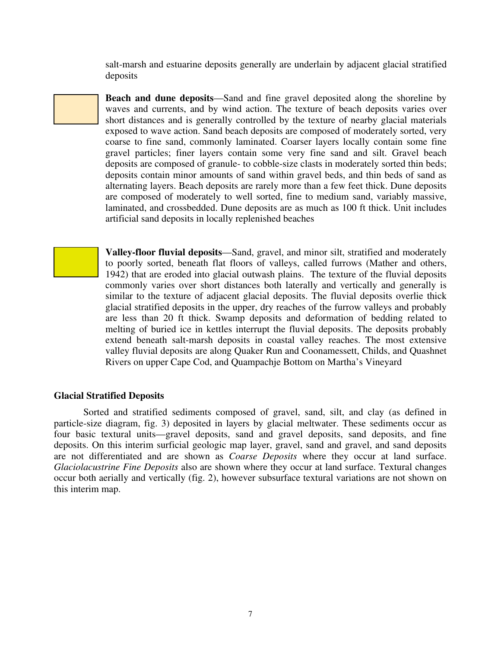salt-marsh and estuarine deposits generally are underlain by adjacent glacial stratified deposits

**Beach and dune deposits**—Sand and fine gravel deposited along the shoreline by waves and currents, and by wind action. The texture of beach deposits varies over short distances and is generally controlled by the texture of nearby glacial materials exposed to wave action. Sand beach deposits are composed of moderately sorted, very coarse to fine sand, commonly laminated. Coarser layers locally contain some fine gravel particles; finer layers contain some very fine sand and silt. Gravel beach deposits are composed of granule- to cobble-size clasts in moderately sorted thin beds; deposits contain minor amounts of sand within gravel beds, and thin beds of sand as alternating layers. Beach deposits are rarely more than a few feet thick. Dune deposits are composed of moderately to well sorted, fine to medium sand, variably massive, laminated, and crossbedded. Dune deposits are as much as 100 ft thick. Unit includes artificial sand deposits in locally replenished beaches

**Valley-floor fluvial deposits**—Sand, gravel, and minor silt, stratified and moderately to poorly sorted, beneath flat floors of valleys, called furrows (Mather and others, 1942) that are eroded into glacial outwash plains. The texture of the fluvial deposits commonly varies over short distances both laterally and vertically and generally is similar to the texture of adjacent glacial deposits. The fluvial deposits overlie thick glacial stratified deposits in the upper, dry reaches of the furrow valleys and probably are less than 20 ft thick. Swamp deposits and deformation of bedding related to melting of buried ice in kettles interrupt the fluvial deposits. The deposits probably extend beneath salt-marsh deposits in coastal valley reaches. The most extensive valley fluvial deposits are along Quaker Run and Coonamessett, Childs, and Quashnet Rivers on upper Cape Cod, and Quampachje Bottom on Martha's Vineyard

#### **Glacial Stratified Deposits**

Sorted and stratified sediments composed of gravel, sand, silt, and clay (as defined in particle-size diagram, fig. 3) deposited in layers by glacial meltwater. These sediments occur as four basic textural units—gravel deposits, sand and gravel deposits, sand deposits, and fine deposits. On this interim surficial geologic map layer, gravel, sand and gravel, and sand deposits are not differentiated and are shown as *Coarse Deposits* where they occur at land surface. *Glaciolacustrine Fine Deposits* also are shown where they occur at land surface. Textural changes occur both aerially and vertically (fig. 2), however subsurface textural variations are not shown on this interim map.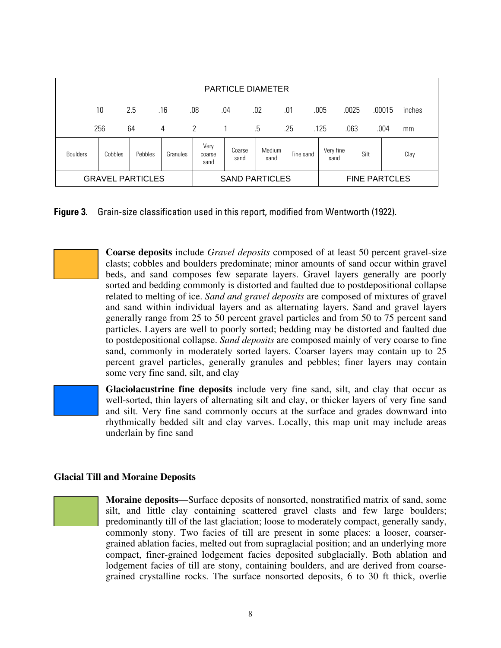| <b>PARTICLE DIAMETER</b> |         |         |          |                        |                |                |           |                      |       |                  |  |
|--------------------------|---------|---------|----------|------------------------|----------------|----------------|-----------|----------------------|-------|------------------|--|
|                          | 10      | 2.5     | .16      | .08                    | .04            | .02            | .01       | .005                 | .0025 | .00015<br>inches |  |
|                          | 256     | 64      | 4        | 2                      |                | .5             | .25       | .125                 | .063  | .004<br>mm       |  |
| <b>Boulders</b>          | Cobbles | Pebbles | Granules | Very<br>coarse<br>sand | Coarse<br>sand | Medium<br>sand | Fine sand | Very fine<br>sand    | Silt  | Clay             |  |
| <b>GRAVEL PARTICLES</b>  |         |         |          | <b>SAND PARTICLES</b>  |                |                |           | <b>FINE PARTCLES</b> |       |                  |  |

**Figure 3.** Grain-size classification used in this report, modified from Wentworth (1922).

**Coarse deposits** include *Gravel deposits* composed of at least 50 percent gravel-size clasts; cobbles and boulders predominate; minor amounts of sand occur within gravel beds, and sand composes few separate layers. Gravel layers generally are poorly sorted and bedding commonly is distorted and faulted due to postdepositional collapse related to melting of ice. *Sand and gravel deposits* are composed of mixtures of gravel and sand within individual layers and as alternating layers. Sand and gravel layers generally range from 25 to 50 percent gravel particles and from 50 to 75 percent sand particles. Layers are well to poorly sorted; bedding may be distorted and faulted due to postdepositional collapse. *Sand deposits* are composed mainly of very coarse to fine sand, commonly in moderately sorted layers. Coarser layers may contain up to 25 percent gravel particles, generally granules and pebbles; finer layers may contain some very fine sand, silt, and clay

**Glaciolacustrine fine deposits** include very fine sand, silt, and clay that occur as well-sorted, thin layers of alternating silt and clay, or thicker layers of very fine sand and silt. Very fine sand commonly occurs at the surface and grades downward into rhythmically bedded silt and clay varves. Locally, this map unit may include areas underlain by fine sand

#### **Glacial Till and Moraine Deposits**

**Moraine deposits**—Surface deposits of nonsorted, nonstratified matrix of sand, some silt, and little clay containing scattered gravel clasts and few large boulders; predominantly till of the last glaciation; loose to moderately compact, generally sandy, commonly stony. Two facies of till are present in some places: a looser, coarsergrained ablation facies, melted out from supraglacial position; and an underlying more compact, finer-grained lodgement facies deposited subglacially. Both ablation and lodgement facies of till are stony, containing boulders, and are derived from coarsegrained crystalline rocks. The surface nonsorted deposits, 6 to 30 ft thick, overlie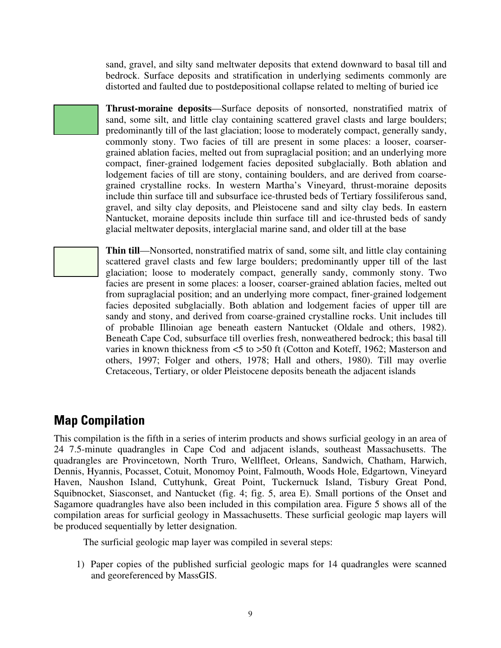<span id="page-12-0"></span>sand, gravel, and silty sand meltwater deposits that extend downward to basal till and bedrock. Surface deposits and stratification in underlying sediments commonly are distorted and faulted due to postdepositional collapse related to melting of buried ice

**Thrust-moraine deposits**—Surface deposits of nonsorted, nonstratified matrix of sand, some silt, and little clay containing scattered gravel clasts and large boulders; predominantly till of the last glaciation; loose to moderately compact, generally sandy, commonly stony. Two facies of till are present in some places: a looser, coarsergrained ablation facies, melted out from supraglacial position; and an underlying more compact, finer-grained lodgement facies deposited subglacially. Both ablation and lodgement facies of till are stony, containing boulders, and are derived from coarsegrained crystalline rocks. In western Martha's Vineyard, thrust-moraine deposits include thin surface till and subsurface ice-thrusted beds of Tertiary fossiliferous sand, gravel, and silty clay deposits, and Pleistocene sand and silty clay beds. In eastern Nantucket, moraine deposits include thin surface till and ice-thrusted beds of sandy glacial meltwater deposits, interglacial marine sand, and older till at the base

**Thin till**—Nonsorted, nonstratified matrix of sand, some silt, and little clay containing scattered gravel clasts and few large boulders; predominantly upper till of the last glaciation; loose to moderately compact, generally sandy, commonly stony. Two facies are present in some places: a looser, coarser-grained ablation facies, melted out from supraglacial position; and an underlying more compact, finer-grained lodgement facies deposited subglacially. Both ablation and lodgement facies of upper till are sandy and stony, and derived from coarse-grained crystalline rocks. Unit includes till of probable Illinoian age beneath eastern Nantucket (Oldale and others, 1982). Beneath Cape Cod, subsurface till overlies fresh, nonweathered bedrock; this basal till varies in known thickness from <5 to >50 ft (Cotton and Koteff, 1962; Masterson and others, 1997; Folger and others, 1978; Hall and others, 1980). Till may overlie Cretaceous, Tertiary, or older Pleistocene deposits beneath the adjacent islands

## **Map Compilation**

This compilation is the fifth in a series of interim products and shows surficial geology in an area of 24 7.5-minute quadrangles in Cape Cod and adjacent islands, southeast Massachusetts. The quadrangles are Provincetown, North Truro, Wellfleet, Orleans, Sandwich, Chatham, Harwich, Dennis, Hyannis, Pocasset, Cotuit, Monomoy Point, Falmouth, Woods Hole, Edgartown, Vineyard Haven, Naushon Island, Cuttyhunk, Great Point, Tuckernuck Island, Tisbury Great Pond, Squibnocket, Siasconset, and Nantucket (fig. 4; fig. 5, area E). Small portions of the Onset and Sagamore quadrangles have also been included in this compilation area. Figure 5 shows all of the compilation areas for surficial geology in Massachusetts. These surficial geologic map layers will be produced sequentially by letter designation.

The surficial geologic map layer was compiled in several steps:

1) Paper copies of the published surficial geologic maps for 14 quadrangles were scanned and georeferenced by MassGIS.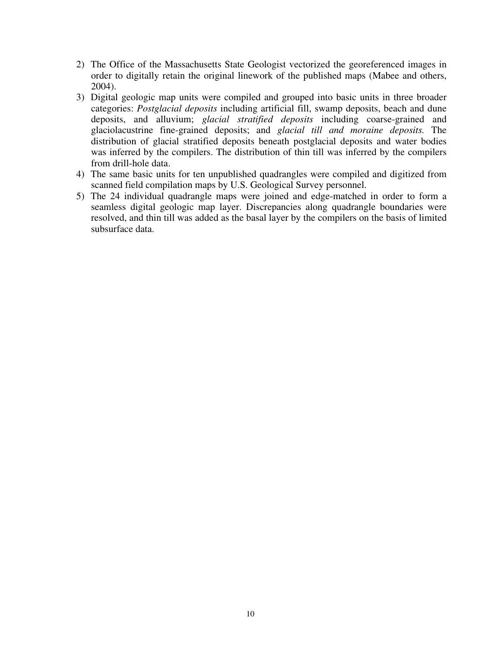- 2) The Office of the Massachusetts State Geologist vectorized the georeferenced images in order to digitally retain the original linework of the published maps (Mabee and others, 2004).
- 3) Digital geologic map units were compiled and grouped into basic units in three broader categories: *Postglacial deposits* including artificial fill, swamp deposits, beach and dune deposits, and alluvium; *glacial stratified deposits* including coarse-grained and glaciolacustrine fine-grained deposits; and *glacial till and moraine deposits.* The distribution of glacial stratified deposits beneath postglacial deposits and water bodies was inferred by the compilers. The distribution of thin till was inferred by the compilers from drill-hole data.
- 4) The same basic units for ten unpublished quadrangles were compiled and digitized from scanned field compilation maps by U.S. Geological Survey personnel.
- 5) The 24 individual quadrangle maps were joined and edge-matched in order to form a seamless digital geologic map layer. Discrepancies along quadrangle boundaries were resolved, and thin till was added as the basal layer by the compilers on the basis of limited subsurface data.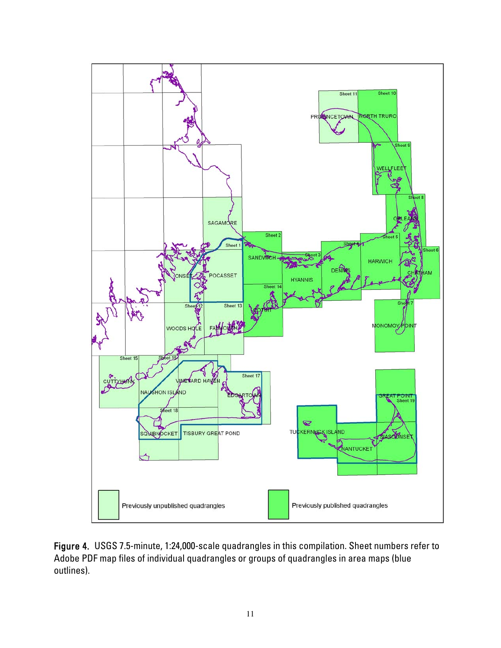<span id="page-14-0"></span>

Figure 4. USGS 7.5-minute, 1:24,000-scale quadrangles in this compilation. Sheet numbers refer to Adobe PDF map files of individual quadrangles or groups of quadrangles in area maps (blue outlines).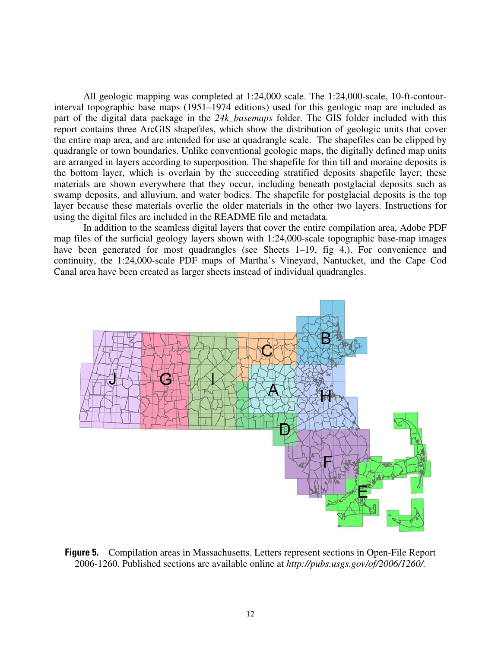<span id="page-15-0"></span>All geologic mapping was completed at 1:24,000 scale. The 1:24,000-scale, 10-ft-contourinterval topographic base maps (1951–1974 editions) used for this geologic map are included as part of the digital data package in the *24k\_basemaps* folder. The GIS folder included with this report contains three ArcGIS shapefiles, which show the distribution of geologic units that cover the entire map area, and are intended for use at quadrangle scale. The shapefiles can be clipped by quadrangle or town boundaries. Unlike conventional geologic maps, the digitally defined map units are arranged in layers according to superposition. The shapefile for thin till and moraine deposits is the bottom layer, which is overlain by the succeeding stratified deposits shapefile layer; these materials are shown everywhere that they occur, including beneath postglacial deposits such as swamp deposits, and alluvium, and water bodies. The shapefile for postglacial deposits is the top layer because these materials overlie the older materials in the other two layers. Instructions for using the digital files are included in the README file and metadata.

In addition to the seamless digital layers that cover the entire compilation area, Adobe PDF map files of the surficial geology layers shown with 1:24,000-scale topographic base-map images have been generated for most quadrangles (see Sheets 1–19, fig 4.). For convenience and continuity, the 1:24,000-scale PDF maps of Martha's Vineyard, Nantucket, and the Cape Cod Canal area have been created as larger sheets instead of individual quadrangles.



**Figure 5.** Compilation areas in Massachusetts. Letters represent sections in Open-File Report 2006-1260. Published sections are available online at *http://pubs.usgs.gov/of/2006/1260/.*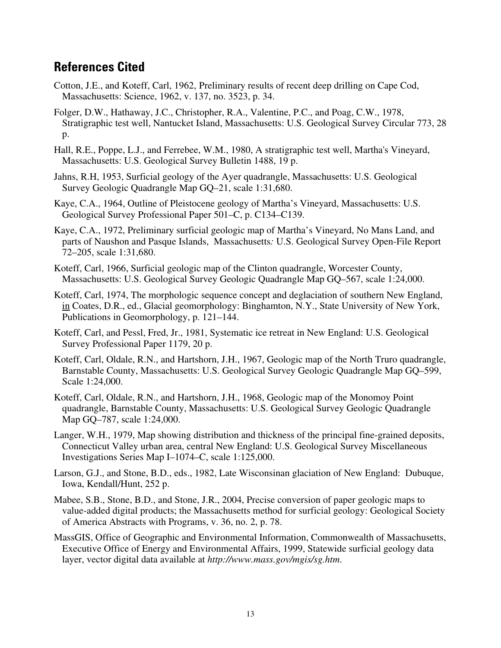### <span id="page-16-0"></span>**References Cited**

- Cotton, J.E., and Koteff, Carl, 1962, Preliminary results of recent deep drilling on Cape Cod, Massachusetts: Science, 1962, v. 137, no. 3523, p. 34.
- Folger, D.W., Hathaway, J.C., Christopher, R.A., Valentine, P.C., and Poag, C.W., 1978, Stratigraphic test well, Nantucket Island, Massachusetts: U.S. Geological Survey Circular 773, 28 p.
- Hall, R.E., Poppe, L.J., and Ferrebee, W.M., 1980, A stratigraphic test well, Martha's Vineyard, Massachusetts: U.S. Geological Survey Bulletin 1488, 19 p.
- Jahns, R.H, 1953, Surficial geology of the Ayer quadrangle, Massachusetts: U.S. Geological Survey Geologic Quadrangle Map GQ–21, scale 1:31,680.
- Kaye, C.A., 1964, Outline of Pleistocene geology of Martha's Vineyard, Massachusetts: U.S. Geological Survey Professional Paper 501–C, p. C134–C139.
- Kaye, C.A., 1972, Preliminary surficial geologic map of Martha's Vineyard, No Mans Land, and parts of Naushon and Pasque Islands, Massachusetts*:* U.S. Geological Survey Open-File Report 72–205, scale 1:31,680.
- Koteff, Carl, 1966, Surficial geologic map of the Clinton quadrangle, Worcester County, Massachusetts: U.S. Geological Survey Geologic Quadrangle Map GQ–567, scale 1:24,000.
- Koteff, Carl, 1974, The morphologic sequence concept and deglaciation of southern New England, in Coates, D.R., ed., Glacial geomorphology: Binghamton, N.Y., State University of New York, Publications in Geomorphology, p. 121–144.
- Koteff, Carl, and Pessl, Fred, Jr., 1981, Systematic ice retreat in New England: U.S. Geological Survey Professional Paper 1179, 20 p.
- Koteff, Carl, Oldale, R.N., and Hartshorn, J.H., 1967, Geologic map of the North Truro quadrangle, Barnstable County, Massachusetts: U.S. Geological Survey Geologic Quadrangle Map GQ–599, Scale 1:24,000.
- Koteff, Carl, Oldale, R.N., and Hartshorn, J.H., 1968, Geologic map of the Monomoy Point quadrangle, Barnstable County, Massachusetts: U.S. Geological Survey Geologic Quadrangle Map GQ–787, scale 1:24,000.
- Langer, W.H., 1979, Map showing distribution and thickness of the principal fine-grained deposits, Connecticut Valley urban area, central New England: U.S. Geological Survey Miscellaneous Investigations Series Map I–1074–C, scale 1:125,000.
- Larson, G.J., and Stone, B.D., eds., 1982, Late Wisconsinan glaciation of New England: Dubuque, Iowa, Kendall/Hunt, 252 p.
- Mabee, S.B., Stone, B.D., and Stone, J.R., 2004, Precise conversion of paper geologic maps to value-added digital products; the Massachusetts method for surficial geology: Geological Society of America Abstracts with Programs, v. 36, no. 2, p. 78.
- MassGIS, Office of Geographic and Environmental Information, Commonwealth of Massachusetts, Executive Office of Energy and Environmental Affairs, 1999, Statewide surficial geology data layer, vector digital data available at *http://www.mass.gov/mgis/sg.htm*.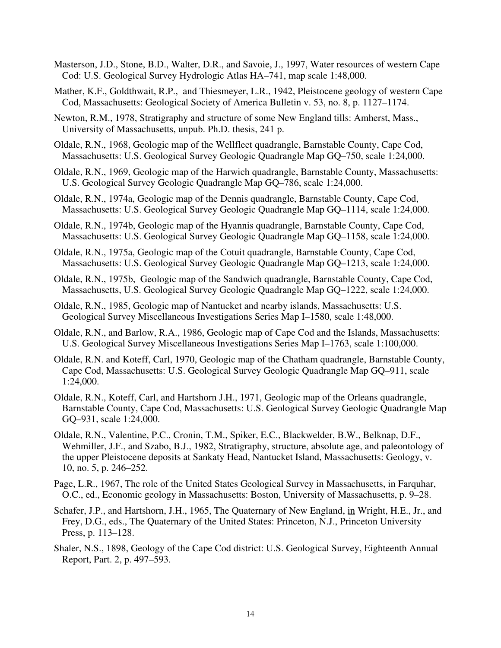- Masterson, J.D., Stone, B.D., Walter, D.R., and Savoie, J., 1997, Water resources of western Cape Cod: U.S. Geological Survey Hydrologic Atlas HA–741, map scale 1:48,000.
- Mather, K.F., Goldthwait, R.P., and Thiesmeyer, L.R., 1942, Pleistocene geology of western Cape Cod, Massachusetts: Geological Society of America Bulletin v. 53, no. 8, p. 1127–1174.
- Newton, R.M., 1978, Stratigraphy and structure of some New England tills: Amherst, Mass., University of Massachusetts, unpub. Ph.D. thesis, 241 p.
- Oldale, R.N., 1968, Geologic map of the Wellfleet quadrangle, Barnstable County, Cape Cod, Massachusetts: U.S. Geological Survey Geologic Quadrangle Map GQ–750, scale 1:24,000.
- Oldale, R.N., 1969, Geologic map of the Harwich quadrangle, Barnstable County, Massachusetts: U.S. Geological Survey Geologic Quadrangle Map GQ–786, scale 1:24,000.
- Oldale, R.N., 1974a, Geologic map of the Dennis quadrangle, Barnstable County, Cape Cod, Massachusetts: U.S. Geological Survey Geologic Quadrangle Map GQ–1114, scale 1:24,000.
- Oldale, R.N., 1974b, Geologic map of the Hyannis quadrangle, Barnstable County, Cape Cod, Massachusetts: U.S. Geological Survey Geologic Quadrangle Map GQ–1158, scale 1:24,000.
- Oldale, R.N., 1975a, Geologic map of the Cotuit quadrangle, Barnstable County, Cape Cod, Massachusetts: U.S. Geological Survey Geologic Quadrangle Map GQ–1213, scale 1:24,000.
- Oldale, R.N., 1975b, Geologic map of the Sandwich quadrangle, Barnstable County, Cape Cod, Massachusetts, U.S. Geological Survey Geologic Quadrangle Map GQ–1222, scale 1:24,000.
- Oldale, R.N., 1985, Geologic map of Nantucket and nearby islands, Massachusetts: U.S. Geological Survey Miscellaneous Investigations Series Map I–1580, scale 1:48,000.
- Oldale, R.N., and Barlow, R.A., 1986, Geologic map of Cape Cod and the Islands, Massachusetts: U.S. Geological Survey Miscellaneous Investigations Series Map I–1763, scale 1:100,000.
- Oldale, R.N. and Koteff, Carl, 1970, Geologic map of the Chatham quadrangle, Barnstable County, Cape Cod, Massachusetts: U.S. Geological Survey Geologic Quadrangle Map GQ–911, scale 1:24,000.
- Barnstable County, Cape Cod, Massachusetts: U.S. Geological Survey Geologic Quadrangle Map GQ–931, scale 1:24,000. Oldale, R.N., Koteff, Carl, and Hartshorn J.H., 1971, Geologic map of the Orleans quadrangle,
- Oldale, R.N., Valentine, P.C., Cronin, T.M., Spiker, E.C., Blackwelder, B.W., Belknap, D.F., Wehmiller, J.F., and Szabo, B.J., 1982, Stratigraphy, structure, absolute age, and paleontology of the upper Pleistocene deposits at Sankaty Head, Nantucket Island, Massachusetts: Geology, v. 10, no. 5, p. 246–252.
- Page, L.R., 1967, The role of the United States Geological Survey in Massachusetts, in Farquhar, O.C., ed., Economic geology in Massachusetts: Boston, University of Massachusetts, p. 9–28.
- Schafer, J.P., and Hartshorn, J.H., 1965, The Quaternary of New England, in Wright, H.E., Jr., and Frey, D.G., eds., The Quaternary of the United States: Princeton, N.J., Princeton University Press, p. 113–128.
- Shaler, N.S., 1898, Geology of the Cape Cod district: U.S. Geological Survey, Eighteenth Annual Report, Part. 2, p. 497–593.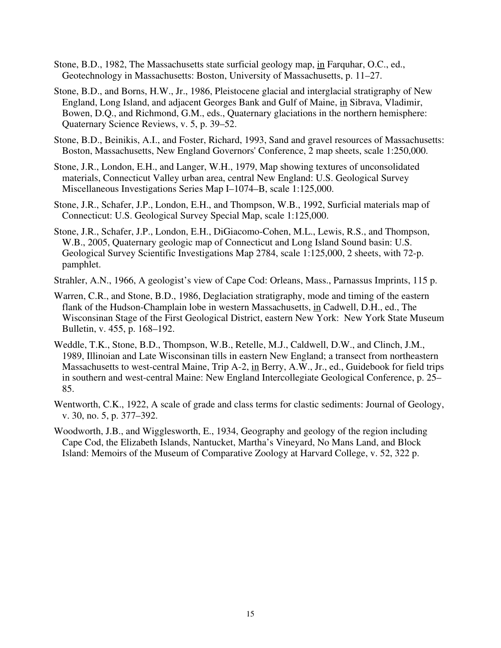- Stone, B.D., 1982, The Massachusetts state surficial geology map, in Farquhar, O.C., ed., Geotechnology in Massachusetts: Boston, University of Massachusetts, p. 11–27.
- Stone, B.D., and Borns, H.W., Jr., 1986, Pleistocene glacial and interglacial stratigraphy of New England, Long Island, and adjacent Georges Bank and Gulf of Maine, in Sibrava, Vladimir, Bowen, D.Q., and Richmond, G.M., eds., Quaternary glaciations in the northern hemisphere: Quaternary Science Reviews, v. 5, p. 39–52.
- Stone, B.D., Beinikis, A.I., and Foster, Richard, 1993, Sand and gravel resources of Massachusetts: Boston, Massachusetts, New England Governors' Conference, 2 map sheets, scale 1:250,000.
- Stone, J.R., London, E.H., and Langer, W.H., 1979, Map showing textures of unconsolidated materials, Connecticut Valley urban area, central New England: U.S. Geological Survey Miscellaneous Investigations Series Map I–1074–B, scale 1:125,000.
- Stone, J.R., Schafer, J.P., London, E.H., and Thompson, W.B., 1992, Surficial materials map of Connecticut: U.S. Geological Survey Special Map, scale 1:125,000.
- Stone, J.R., Schafer, J.P., London, E.H., DiGiacomo-Cohen, M.L., Lewis, R.S., and Thompson, W.B., 2005, Quaternary geologic map of Connecticut and Long Island Sound basin: U.S. Geological Survey Scientific Investigations Map 2784, scale 1:125,000, 2 sheets, with 72-p. pamphlet.
- Strahler, A.N., 1966, A geologist's view of Cape Cod: Orleans, Mass., Parnassus Imprints, 115 p.
- Warren, C.R., and Stone, B.D., 1986, Deglaciation stratigraphy, mode and timing of the eastern flank of the Hudson-Champlain lobe in western Massachusetts, in Cadwell, D.H., ed., The Wisconsinan Stage of the First Geological District, eastern New York: New York State Museum Bulletin, v. 455, p. 168–192.
- Weddle, T.K., Stone, B.D., Thompson, W.B., Retelle, M.J., Caldwell, D.W., and Clinch, J.M., 1989, Illinoian and Late Wisconsinan tills in eastern New England; a transect from northeastern Massachusetts to west-central Maine, Trip A-2, in Berry, A.W., Jr., ed., Guidebook for field trips in southern and west-central Maine: New England Intercollegiate Geological Conference, p. 25– 85.
- Wentworth, C.K., 1922, A scale of grade and class terms for clastic sediments: Journal of Geology, v. 30, no. 5, p. 377–392.
- Woodworth, J.B., and Wigglesworth, E., 1934, Geography and geology of the region including Cape Cod, the Elizabeth Islands, Nantucket, Martha's Vineyard, No Mans Land, and Block Island: Memoirs of the Museum of Comparative Zoology at Harvard College, v. 52, 322 p.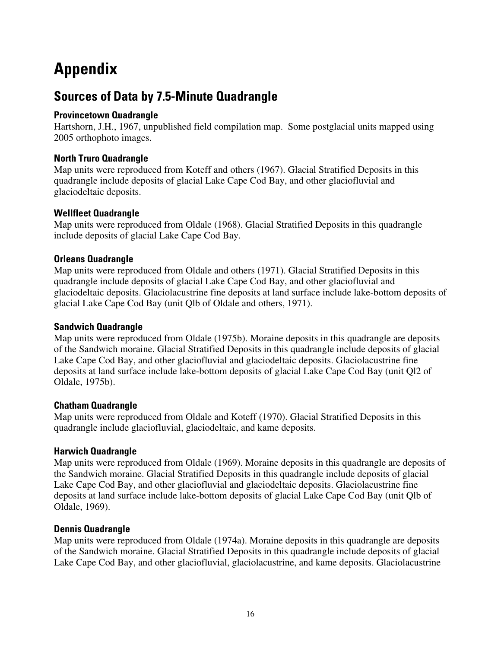# <span id="page-19-0"></span>**Appendix**

## **Sources of Data by 7.5-Minute Quadrangle**

#### **Provincetown Quadrangle**

Hartshorn, J.H., 1967, unpublished field compilation map. Some postglacial units mapped using 2005 orthophoto images.

#### **North Truro Quadrangle**

Map units were reproduced from Koteff and others (1967). Glacial Stratified Deposits in this quadrangle include deposits of glacial Lake Cape Cod Bay, and other glaciofluvial and glaciodeltaic deposits.

#### **Wellfleet Quadrangle**

Map units were reproduced from Oldale (1968). Glacial Stratified Deposits in this quadrangle include deposits of glacial Lake Cape Cod Bay.

#### **Orleans Quadrangle**

Map units were reproduced from Oldale and others (1971). Glacial Stratified Deposits in this quadrangle include deposits of glacial Lake Cape Cod Bay, and other glaciofluvial and glaciodeltaic deposits. Glaciolacustrine fine deposits at land surface include lake-bottom deposits of glacial Lake Cape Cod Bay (unit Qlb of Oldale and others, 1971).

#### **Sandwich Quadrangle**

Map units were reproduced from Oldale (1975b). Moraine deposits in this quadrangle are deposits of the Sandwich moraine. Glacial Stratified Deposits in this quadrangle include deposits of glacial Lake Cape Cod Bay, and other glaciofluvial and glaciodeltaic deposits. Glaciolacustrine fine deposits at land surface include lake-bottom deposits of glacial Lake Cape Cod Bay (unit Ql2 of Oldale, 1975b).

#### **Chatham Quadrangle**

Map units were reproduced from Oldale and Koteff (1970). Glacial Stratified Deposits in this quadrangle include glaciofluvial, glaciodeltaic, and kame deposits.

#### **Harwich Quadrangle**

Map units were reproduced from Oldale (1969). Moraine deposits in this quadrangle are deposits of the Sandwich moraine. Glacial Stratified Deposits in this quadrangle include deposits of glacial Lake Cape Cod Bay, and other glaciofluvial and glaciodeltaic deposits. Glaciolacustrine fine deposits at land surface include lake-bottom deposits of glacial Lake Cape Cod Bay (unit Qlb of Oldale, 1969).

#### **Dennis Quadrangle**

Map units were reproduced from Oldale (1974a). Moraine deposits in this quadrangle are deposits of the Sandwich moraine. Glacial Stratified Deposits in this quadrangle include deposits of glacial Lake Cape Cod Bay, and other glaciofluvial, glaciolacustrine, and kame deposits. Glaciolacustrine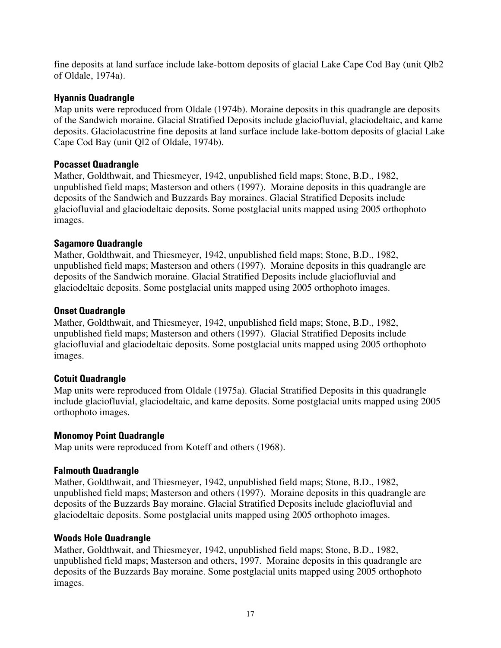fine deposits at land surface include lake-bottom deposits of glacial Lake Cape Cod Bay (unit Qlb2 of Oldale, 1974a).

#### **Hyannis Quadrangle**

Map units were reproduced from Oldale (1974b). Moraine deposits in this quadrangle are deposits of the Sandwich moraine. Glacial Stratified Deposits include glaciofluvial, glaciodeltaic, and kame deposits. Glaciolacustrine fine deposits at land surface include lake-bottom deposits of glacial Lake Cape Cod Bay (unit Ql2 of Oldale, 1974b).

#### **Pocasset Quadrangle**

Mather, Goldthwait, and Thiesmeyer, 1942, unpublished field maps; Stone, B.D., 1982, unpublished field maps; Masterson and others (1997). Moraine deposits in this quadrangle are deposits of the Sandwich and Buzzards Bay moraines. Glacial Stratified Deposits include glaciofluvial and glaciodeltaic deposits. Some postglacial units mapped using 2005 orthophoto images.

#### **Sagamore Quadrangle**

Mather, Goldthwait, and Thiesmeyer, 1942, unpublished field maps; Stone, B.D., 1982, unpublished field maps; Masterson and others (1997). Moraine deposits in this quadrangle are deposits of the Sandwich moraine. Glacial Stratified Deposits include glaciofluvial and glaciodeltaic deposits. Some postglacial units mapped using 2005 orthophoto images.

#### **Onset Quadrangle**

Mather, Goldthwait, and Thiesmeyer, 1942, unpublished field maps; Stone, B.D., 1982, unpublished field maps; Masterson and others (1997). Glacial Stratified Deposits include glaciofluvial and glaciodeltaic deposits. Some postglacial units mapped using 2005 orthophoto images.

#### **Cotuit Quadrangle**

Map units were reproduced from Oldale (1975a). Glacial Stratified Deposits in this quadrangle include glaciofluvial, glaciodeltaic, and kame deposits. Some postglacial units mapped using 2005 orthophoto images.

#### **Monomoy Point Quadrangle**

Map units were reproduced from Koteff and others (1968).

#### **Falmouth Quadrangle**

Mather, Goldthwait, and Thiesmeyer, 1942, unpublished field maps; Stone, B.D., 1982, unpublished field maps; Masterson and others (1997). Moraine deposits in this quadrangle are deposits of the Buzzards Bay moraine. Glacial Stratified Deposits include glaciofluvial and glaciodeltaic deposits. Some postglacial units mapped using 2005 orthophoto images.

#### **Woods Hole Quadrangle**

Mather, Goldthwait, and Thiesmeyer, 1942, unpublished field maps; Stone, B.D., 1982, unpublished field maps; Masterson and others, 1997. Moraine deposits in this quadrangle are deposits of the Buzzards Bay moraine. Some postglacial units mapped using 2005 orthophoto images.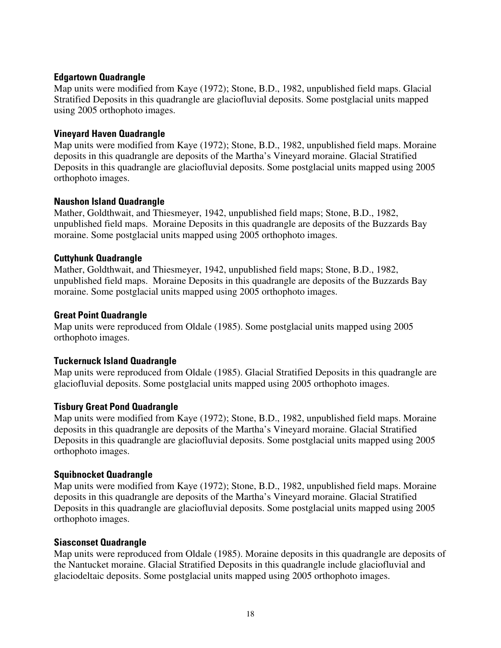#### **Edgartown Quadrangle**

Map units were modified from Kaye (1972); Stone, B.D., 1982, unpublished field maps. Glacial Stratified Deposits in this quadrangle are glaciofluvial deposits. Some postglacial units mapped using 2005 orthophoto images.

#### **Vineyard Haven Quadrangle**

Map units were modified from Kaye (1972); Stone, B.D., 1982, unpublished field maps. Moraine deposits in this quadrangle are deposits of the Martha's Vineyard moraine. Glacial Stratified Deposits in this quadrangle are glaciofluvial deposits. Some postglacial units mapped using 2005 orthophoto images.

#### **Naushon Island Quadrangle**

Mather, Goldthwait, and Thiesmeyer, 1942, unpublished field maps; Stone, B.D., 1982, unpublished field maps. Moraine Deposits in this quadrangle are deposits of the Buzzards Bay moraine. Some postglacial units mapped using 2005 orthophoto images.

#### **Cuttyhunk Quadrangle**

Mather, Goldthwait, and Thiesmeyer, 1942, unpublished field maps; Stone, B.D., 1982, unpublished field maps. Moraine Deposits in this quadrangle are deposits of the Buzzards Bay moraine. Some postglacial units mapped using 2005 orthophoto images.

#### **Great Point Quadrangle**

Map units were reproduced from Oldale (1985). Some postglacial units mapped using 2005 orthophoto images.

#### **Tuckernuck Island Quadrangle**

Map units were reproduced from Oldale (1985). Glacial Stratified Deposits in this quadrangle are glaciofluvial deposits. Some postglacial units mapped using 2005 orthophoto images.

#### **Tisbury Great Pond Quadrangle**

Map units were modified from Kaye (1972); Stone, B.D., 1982, unpublished field maps. Moraine deposits in this quadrangle are deposits of the Martha's Vineyard moraine. Glacial Stratified Deposits in this quadrangle are glaciofluvial deposits. Some postglacial units mapped using 2005 orthophoto images.

#### **Squibnocket Quadrangle**

Map units were modified from Kaye (1972); Stone, B.D., 1982, unpublished field maps. Moraine deposits in this quadrangle are deposits of the Martha's Vineyard moraine. Glacial Stratified Deposits in this quadrangle are glaciofluvial deposits. Some postglacial units mapped using 2005 orthophoto images.

#### **Siasconset Quadrangle**

Map units were reproduced from Oldale (1985). Moraine deposits in this quadrangle are deposits of the Nantucket moraine. Glacial Stratified Deposits in this quadrangle include glaciofluvial and glaciodeltaic deposits. Some postglacial units mapped using 2005 orthophoto images.